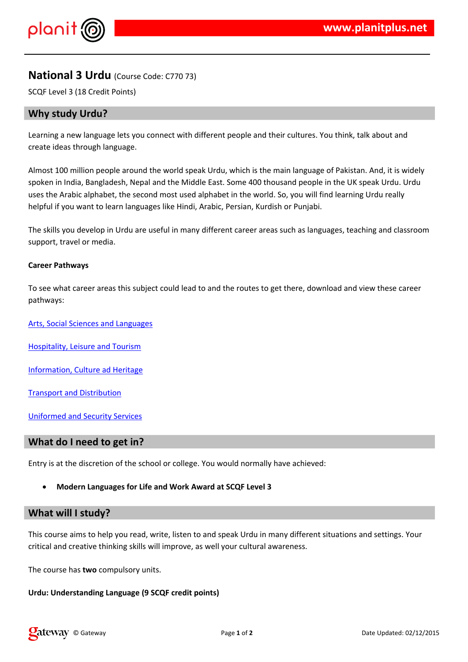$\frac{1}{2}$  # \$ % % &

 $\frac{1}{1}$  & % 8& # & #  $\frac{1}{1}$  & & % ( % & & & ( % ' #  $\frac{1}{1}$  ( )% \*& +, # + - $\mathbf{L}$  $\%$  (  $\# 8$  )

#  $\frac{1}{2}$  2  $\frac{1}{2}$  2  $\frac{1}{2}$  2  $\frac{1}{2}$  $\left( \begin{array}{cccc} & \# & \& \end{array} \right)$  $% 8"#$  $\sim 10$  $9($  + % # #  $,$  "#  $/$  %)

9 (  $-8($ %  $#$  8 (  $, 8#$  8  $%$  (  $\sqrt{2}$ 

 $\frac{10}{3}$   $\frac{100}{3}$   $\frac{94}{3}$  &  $\frac{100}{3}$   $\frac{100}{3}$ 

 $7\frac{9}{6}$  # %, !  $9\frac{9}{6}$  % / &

0 & 1 % &, # 7 %

9 & 8 % % - % &

8. % / 8. ' % "%'

4 & % ( % '' ( %# & # #  $*$  ) # & / # # ( " ' ( % "

 $!$  "# \$

 $9 ( % )$  (%  $\frac{4}{3}$  ,% # % & + % & % % & & \*  $\frac{1}{3}$ ' % %' # & ' %+"%%#(#%#& + % & # # ' # # & )

 $9() ' () ' / # 8% )$ 

 $%$  $8!$  "#()